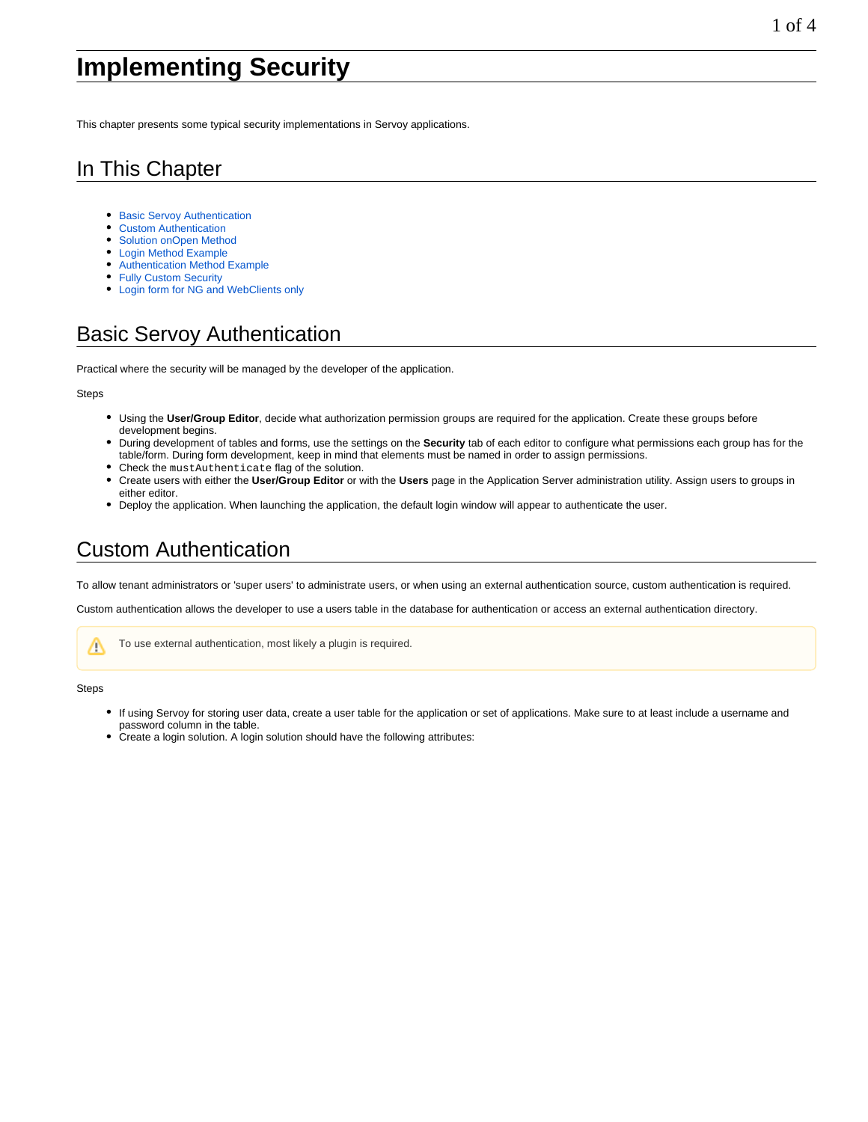# **Implementing Security**

This chapter presents some typical security implementations in Servoy applications.

#### In This Chapter

- **[Basic Servoy Authentication](#page-0-0)**
- [Custom Authentication](#page-0-1)
- [Solution onOpen Method](#page-2-0)
- [Login Method Example](#page-2-1)
- [Authentication Method Example](#page-2-2)
- [Fully Custom Security](#page-3-0)
- [Login form for NG and WebClients only](#page-3-1)

#### <span id="page-0-0"></span>Basic Servoy Authentication

Practical where the security will be managed by the developer of the application.

#### **Steps**

- Using the **User/Group Editor**, decide what authorization permission groups are required for the application. Create these groups before development begins.
- During development of tables and forms, use the settings on the **Security** tab of each editor to configure what permissions each group has for the table/form. During form development, keep in mind that elements must be named in order to assign permissions.
- Check the mustAuthenticate flag of the solution.
- Create users with either the **User/Group Editor** or with the **Users** page in the Application Server administration utility. Assign users to groups in either editor.
- Deploy the application. When launching the application, the default login window will appear to authenticate the user.

#### <span id="page-0-1"></span>Custom Authentication

To allow tenant administrators or 'super users' to administrate users, or when using an external authentication source, custom authentication is required.

Custom authentication allows the developer to use a users table in the database for authentication or access an external authentication directory.



Steps

- If using Servoy for storing user data, create a user table for the application or set of applications. Make sure to at least include a username and password column in the table.
- Create a login solution. A login solution should have the following attributes: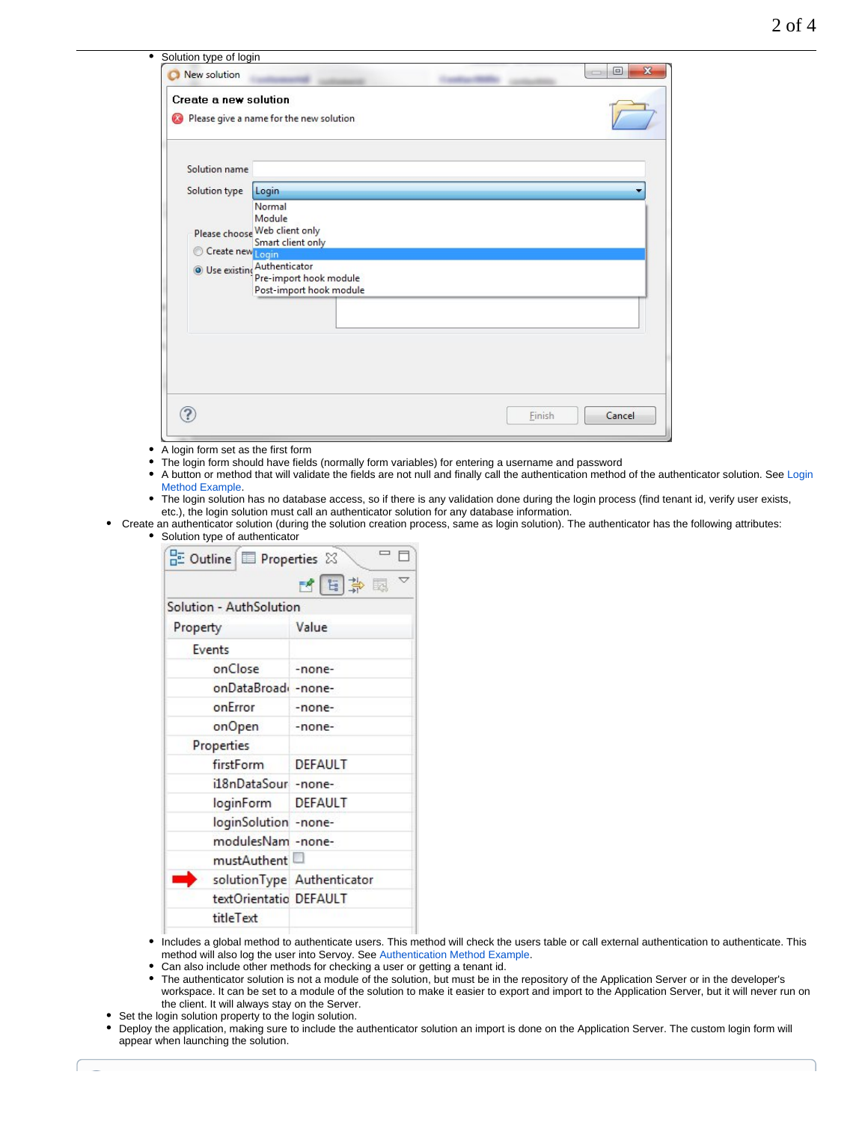| Create a new solution |                                                    |  |
|-----------------------|----------------------------------------------------|--|
| $\infty$              | Please give a name for the new solution            |  |
| Solution name         |                                                    |  |
| Solution type         | Login                                              |  |
|                       | Normal                                             |  |
|                       | Module                                             |  |
|                       | Please choose Web client only<br>Smart client only |  |
| Create new Login      |                                                    |  |
|                       | <b>O</b> Use existing Authenticator                |  |
|                       | Pre-import hook module<br>Post-import hook module  |  |
|                       |                                                    |  |
|                       |                                                    |  |
|                       |                                                    |  |
|                       |                                                    |  |
|                       |                                                    |  |
|                       |                                                    |  |
|                       |                                                    |  |

- A login form set as the first form
- The login form should have fields (normally form variables) for entering a username and password
- A button or method that will validate the fields are not null and finally call the authentication method of the authenticator solution. See [Login](#page-2-1)   $\bullet$ [Method Example](#page-2-1).
- The login solution has no database access, so if there is any validation done during the login process (find tenant id, verify user exists, etc.), the login solution must call an authenticator solution for any database information.
- Create an authenticator solution (during the solution creation process, same as login solution). The authenticator has the following attributes: • Solution type of authenticator

| $\frac{D}{D}$ Outline $\boxed{D}$ Properties $\frac{D}{D}$ |                            |
|------------------------------------------------------------|----------------------------|
|                                                            | 内国草园                       |
| Solution - AuthSolution                                    |                            |
| Property                                                   | Value                      |
| Events                                                     |                            |
| onClose                                                    | -none-                     |
| onDataBroad -none-                                         |                            |
| onError                                                    | -none-                     |
| onOpen                                                     | -none-                     |
| Properties                                                 |                            |
| firstForm                                                  | <b>DEFAULT</b>             |
| il8nDataSour -none-                                        |                            |
| loginForm DEFAULT                                          |                            |
| loginSolution -none-                                       |                            |
| modulesNam -none-                                          |                            |
| mustAuthent                                                |                            |
|                                                            | solutionType Authenticator |
| textOrientatio DEFAULT                                     |                            |
| titleText                                                  |                            |
|                                                            |                            |

- Includes a global method to authenticate users. This method will check the users table or call external authentication to authenticate. This method will also log the user into Servoy. See [Authentication Method Example.](#page-2-2)
- Can also include other methods for checking a user or getting a tenant id.
- The authenticator solution is not a module of the solution, but must be in the repository of the Application Server or in the developer's workspace. It can be set to a module of the solution to make it easier to export and import to the Application Server, but it will never run on the client. It will always stay on the Server.
- Set the login solution property to the login solution.

 $\sim$ 

Deploy the application, making sure to include the authenticator solution an import is done on the Application Server. The custom login form will appear when launching the solution.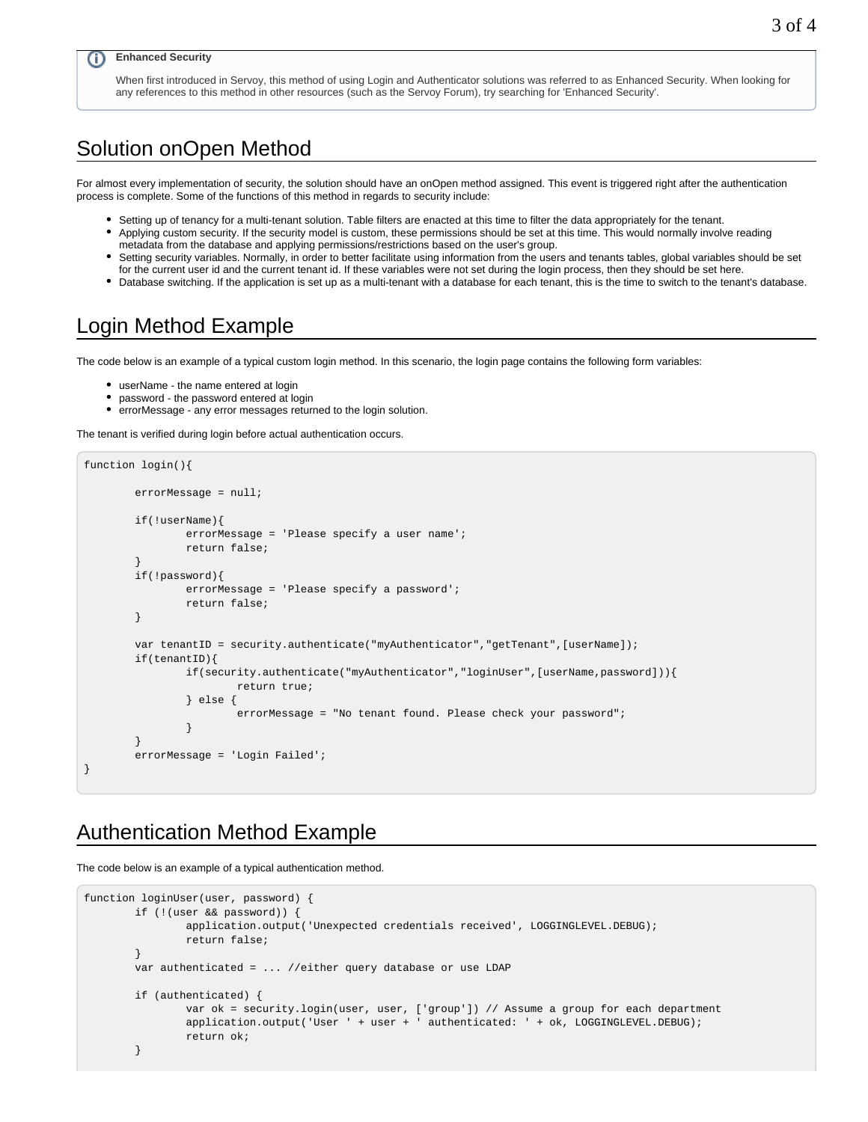#### **Enhanced Security** O)

When first introduced in Servoy, this method of using Login and Authenticator solutions was referred to as Enhanced Security. When looking for any references to this method in other resources (such as the Servoy Forum), try searching for 'Enhanced Security'.

#### <span id="page-2-0"></span>Solution onOpen Method

For almost every implementation of security, the solution should have an onOpen method assigned. This event is triggered right after the authentication process is complete. Some of the functions of this method in regards to security include:

- Setting up of tenancy for a multi-tenant solution. Table filters are enacted at this time to filter the data appropriately for the tenant.
- Applying custom security. If the security model is custom, these permissions should be set at this time. This would normally involve reading metadata from the database and applying permissions/restrictions based on the user's group.
- Setting security variables. Normally, in order to better facilitate using information from the users and tenants tables, global variables should be set for the current user id and the current tenant id. If these variables were not set during the login process, then they should be set here.
- Database switching. If the application is set up as a multi-tenant with a database for each tenant, this is the time to switch to the tenant's database.

### <span id="page-2-1"></span>Login Method Example

The code below is an example of a typical custom login method. In this scenario, the login page contains the following form variables:

- userName the name entered at login
- password the password entered at login
- errorMessage any error messages returned to the login solution.

The tenant is verified during login before actual authentication occurs.

```
function login(){
        errorMessage = null;
        if(!userName){
                errorMessage = 'Please specify a user name';
                return false;
 }
        if(!password){
                errorMessage = 'Please specify a password';
                return false;
 }
       var tenantID = security.authenticate("myAuthenticator","getTenant", [userName]);
        if(tenantID){
                if(security.authenticate("myAuthenticator","loginUser",[userName,password])){
                        return true;
                } else {
                        errorMessage = "No tenant found. Please check your password";
 }
 }
        errorMessage = 'Login Failed';
}
```
#### <span id="page-2-2"></span>Authentication Method Example

The code below is an example of a typical authentication method.

```
function loginUser(user, password) {
         if (!(user && password)) {
                application.output('Unexpected credentials received', LOGGINGLEVEL.DEBUG);
                return false;
 }
        var authenticated = ... //either query database or use LDAP
        if (authenticated) {
                var ok = security.login(user, user, ['group']) // Assume a group for each department
                application.output('User ' + user + ' authenticated: ' + ok, LOGGINGLEVEL.DEBUG);
                return ok;
 }
```